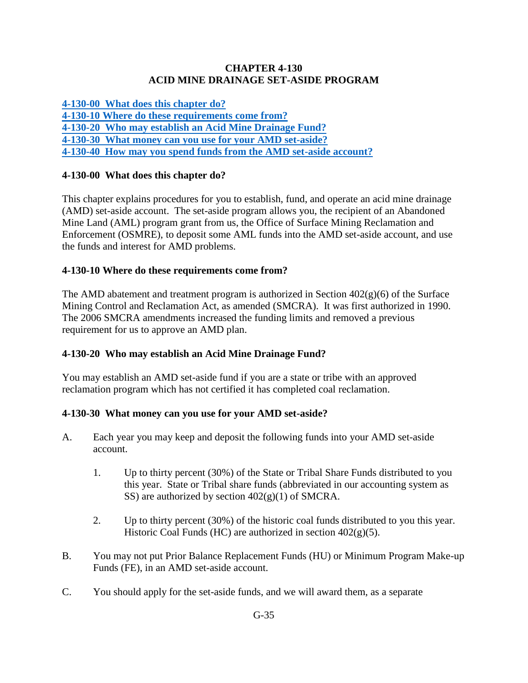#### **CHAPTER 4-130 ACID MINE DRAINAGE SET-ASIDE PROGRAM**

**[4-130-00 What does this chapter do?](#page-0-0)**

**[4-130-10 Where do these requirements come from?](#page-0-1)**

**[4-130-20 Who may establish an Acid Mine Drainage Fund?](#page-0-2)**

**[4-130-30 What money can you use for your AMD set-aside?](#page-0-3)**

**[4-130-40 How may you spend funds from the AMD set-aside account?](#page-1-0)**

## <span id="page-0-0"></span>**4-130-00 What does this chapter do?**

This chapter explains procedures for you to establish, fund, and operate an acid mine drainage (AMD) set-aside account. The set-aside program allows you, the recipient of an Abandoned Mine Land (AML) program grant from us, the Office of Surface Mining Reclamation and Enforcement (OSMRE), to deposit some AML funds into the AMD set-aside account, and use the funds and interest for AMD problems.

# <span id="page-0-1"></span>**4-130-10 Where do these requirements come from?**

The AMD abatement and treatment program is authorized in Section  $402(g)(6)$  of the Surface Mining Control and Reclamation Act, as amended (SMCRA). It was first authorized in 1990. The 2006 SMCRA amendments increased the funding limits and removed a previous requirement for us to approve an AMD plan.

## <span id="page-0-2"></span>**4-130-20 Who may establish an Acid Mine Drainage Fund?**

You may establish an AMD set-aside fund if you are a state or tribe with an approved reclamation program which has not certified it has completed coal reclamation.

## <span id="page-0-3"></span>**4-130-30 What money can you use for your AMD set-aside?**

- A. Each year you may keep and deposit the following funds into your AMD set-aside account.
	- 1. Up to thirty percent (30%) of the State or Tribal Share Funds distributed to you this year. State or Tribal share funds (abbreviated in our accounting system as SS) are authorized by section  $402(g)(1)$  of SMCRA.
	- 2. Up to thirty percent (30%) of the historic coal funds distributed to you this year. Historic Coal Funds (HC) are authorized in section  $402(g)(5)$ .
- B. You may not put Prior Balance Replacement Funds (HU) or Minimum Program Make-up Funds (FE), in an AMD set-aside account.
- C. You should apply for the set-aside funds, and we will award them, as a separate